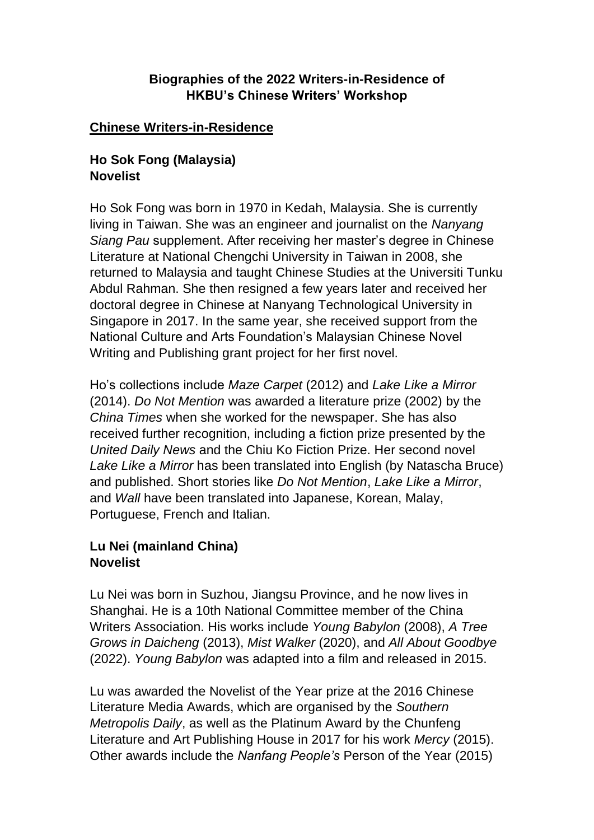#### **Biographies of the 2022 Writers-in-Residence of HKBU's Chinese Writers' Workshop**

#### **Chinese Writers-in-Residence**

#### **Ho Sok Fong (Malaysia) Novelist**

Ho Sok Fong was born in 1970 in Kedah, Malaysia. She is currently living in Taiwan. She was an engineer and journalist on the *Nanyang Siang Pau* supplement. After receiving her master's degree in Chinese Literature at National Chengchi University in Taiwan in 2008, she returned to Malaysia and taught Chinese Studies at the Universiti Tunku Abdul Rahman. She then resigned a few years later and received her doctoral degree in Chinese at Nanyang Technological University in Singapore in 2017. In the same year, she received support from the National Culture and Arts Foundation's Malaysian Chinese Novel Writing and Publishing grant project for her first novel.

Ho's collections include *Maze Carpet* (2012) and *Lake Like a Mirror* (2014). *Do Not Mention* was awarded a literature prize (2002) by the *China Times* when she worked for the newspaper. She has also received further recognition, including a fiction prize presented by the *United Daily News* and the Chiu Ko Fiction Prize. Her second novel *Lake Like a Mirror* has been translated into English (by Natascha Bruce) and published. Short stories like *Do Not Mention*, *Lake Like a Mirror*, and *Wall* have been translated into Japanese, Korean, Malay, Portuguese, French and Italian.

# **Lu Nei (mainland China) Novelist**

Lu Nei was born in Suzhou, Jiangsu Province, and he now lives in Shanghai. He is a 10th National Committee member of the China Writers Association. His works include *Young Babylon* (2008), *A Tree Grows in Daicheng* (2013), *Mist Walker* (2020), and *All About Goodbye* (2022). *Young Babylon* was adapted into a film and released in 2015.

Lu was awarded the Novelist of the Year prize at the 2016 Chinese Literature Media Awards, which are organised by the *Southern Metropolis Daily*, as well as the Platinum Award by the Chunfeng Literature and Art Publishing House in 2017 for his work *Mercy* (2015). Other awards include the *Nanfang People's* Person of the Year (2015)